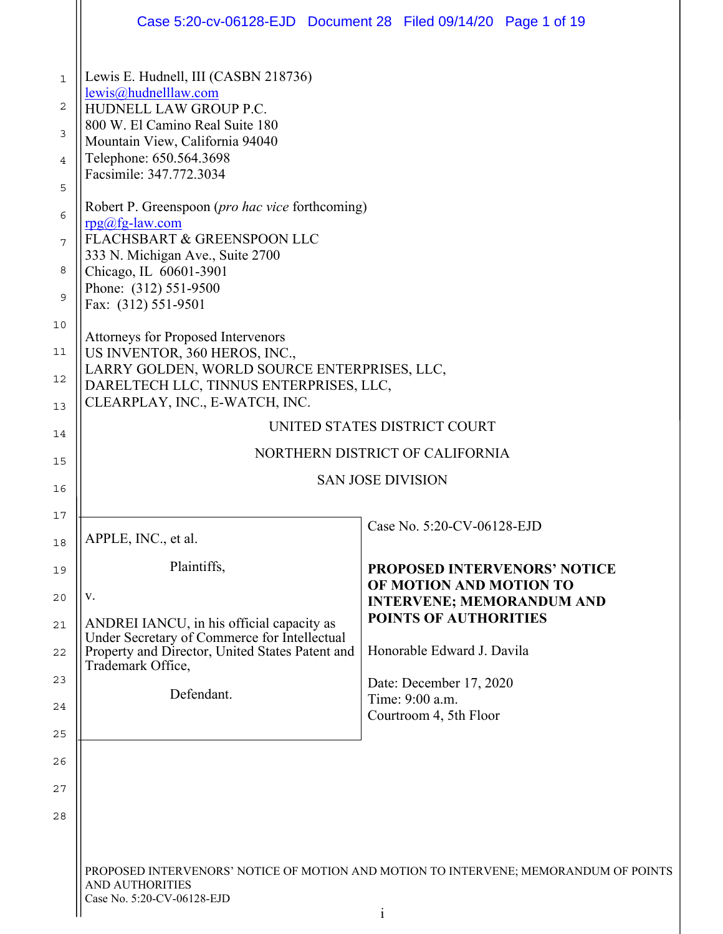|                                                                        |                                                                                                                                                                                                                                                                                                                                                                                                                                                                                        | Case 5:20-cv-06128-EJD  Document 28  Filed 09/14/20  Page 1 of 19                    |  |
|------------------------------------------------------------------------|----------------------------------------------------------------------------------------------------------------------------------------------------------------------------------------------------------------------------------------------------------------------------------------------------------------------------------------------------------------------------------------------------------------------------------------------------------------------------------------|--------------------------------------------------------------------------------------|--|
| $\mathbf 1$<br>2<br>3<br>$\overline{4}$<br>5<br>6<br>7<br>8<br>9<br>10 | Lewis E. Hudnell, III (CASBN 218736)<br>lewis@hudnelllaw.com<br>HUDNELL LAW GROUP P.C.<br>800 W. El Camino Real Suite 180<br>Mountain View, California 94040<br>Telephone: 650.564.3698<br>Facsimile: 347.772.3034<br>Robert P. Greenspoon ( <i>pro hac vice</i> forthcoming)<br>$rpg(a)fg-law.com$<br>FLACHSBART & GREENSPOON LLC<br>333 N. Michigan Ave., Suite 2700<br>Chicago, IL 60601-3901<br>Phone: (312) 551-9500<br>Fax: (312) 551-9501<br>Attorneys for Proposed Intervenors |                                                                                      |  |
| 11<br>12<br>13                                                         | US INVENTOR, 360 HEROS, INC.,<br>LARRY GOLDEN, WORLD SOURCE ENTERPRISES, LLC,<br>DARELTECH LLC, TINNUS ENTERPRISES, LLC,<br>CLEARPLAY, INC., E-WATCH, INC.                                                                                                                                                                                                                                                                                                                             |                                                                                      |  |
| 14                                                                     | UNITED STATES DISTRICT COURT                                                                                                                                                                                                                                                                                                                                                                                                                                                           |                                                                                      |  |
| 15                                                                     | NORTHERN DISTRICT OF CALIFORNIA                                                                                                                                                                                                                                                                                                                                                                                                                                                        |                                                                                      |  |
| 16                                                                     | <b>SAN JOSE DIVISION</b>                                                                                                                                                                                                                                                                                                                                                                                                                                                               |                                                                                      |  |
| 17                                                                     |                                                                                                                                                                                                                                                                                                                                                                                                                                                                                        | Case No. 5:20-CV-06128-EJD                                                           |  |
| 18                                                                     | APPLE, INC., et al.                                                                                                                                                                                                                                                                                                                                                                                                                                                                    |                                                                                      |  |
| 19                                                                     | Plaintiffs,                                                                                                                                                                                                                                                                                                                                                                                                                                                                            | <b>PROPOSED INTERVENORS' NOTICE</b>                                                  |  |
| 20                                                                     | V.                                                                                                                                                                                                                                                                                                                                                                                                                                                                                     | OF MOTION AND MOTION TO<br><b>INTERVENE; MEMORANDUM AND</b>                          |  |
| 21                                                                     | ANDREI IANCU, in his official capacity as<br>Under Secretary of Commerce for Intellectual                                                                                                                                                                                                                                                                                                                                                                                              | <b>POINTS OF AUTHORITIES</b>                                                         |  |
| 22                                                                     | Property and Director, United States Patent and<br>Trademark Office,                                                                                                                                                                                                                                                                                                                                                                                                                   | Honorable Edward J. Davila                                                           |  |
| 23                                                                     | Defendant.                                                                                                                                                                                                                                                                                                                                                                                                                                                                             | Date: December 17, 2020<br>Time: 9:00 a.m.                                           |  |
| 24                                                                     |                                                                                                                                                                                                                                                                                                                                                                                                                                                                                        | Courtroom 4, 5th Floor                                                               |  |
| 25                                                                     |                                                                                                                                                                                                                                                                                                                                                                                                                                                                                        |                                                                                      |  |
| 26                                                                     |                                                                                                                                                                                                                                                                                                                                                                                                                                                                                        |                                                                                      |  |
| 27                                                                     |                                                                                                                                                                                                                                                                                                                                                                                                                                                                                        |                                                                                      |  |
| 28                                                                     |                                                                                                                                                                                                                                                                                                                                                                                                                                                                                        |                                                                                      |  |
|                                                                        |                                                                                                                                                                                                                                                                                                                                                                                                                                                                                        |                                                                                      |  |
|                                                                        | AND AUTHORITIES<br>Case No. 5:20-CV-06128-EJD                                                                                                                                                                                                                                                                                                                                                                                                                                          | PROPOSED INTERVENORS' NOTICE OF MOTION AND MOTION TO INTERVENE; MEMORANDUM OF POINTS |  |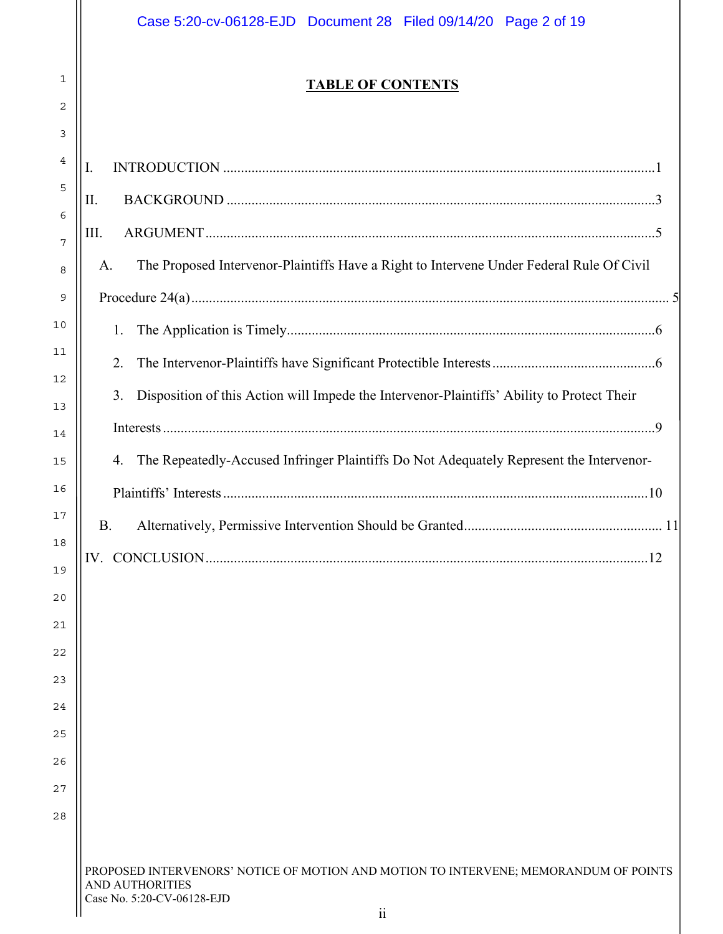| Case 5:20-cv-06128-EJD  Document 28  Filed 09/14/20  Page 2 of 19                                                                            |
|----------------------------------------------------------------------------------------------------------------------------------------------|
| <b>TABLE OF CONTENTS</b>                                                                                                                     |
| Ι.                                                                                                                                           |
| II.                                                                                                                                          |
| III.                                                                                                                                         |
| The Proposed Intervenor-Plaintiffs Have a Right to Intervene Under Federal Rule Of Civil<br>A.                                               |
| 1.                                                                                                                                           |
| 2.                                                                                                                                           |
| Disposition of this Action will Impede the Intervenor-Plaintiffs' Ability to Protect Their<br>3.                                             |
|                                                                                                                                              |
| The Repeatedly-Accused Infringer Plaintiffs Do Not Adequately Represent the Intervenor-<br>4.                                                |
|                                                                                                                                              |
| В.                                                                                                                                           |
|                                                                                                                                              |
|                                                                                                                                              |
|                                                                                                                                              |
|                                                                                                                                              |
|                                                                                                                                              |
|                                                                                                                                              |
|                                                                                                                                              |
|                                                                                                                                              |
|                                                                                                                                              |
|                                                                                                                                              |
| PROPOSED INTERVENORS' NOTICE OF MOTION AND MOTION TO INTERVENE; MEMORANDUM OF POINTS<br><b>AND AUTHORITIES</b><br>Case No. 5:20-CV-06128-EJD |
| $\ddot{\rm n}$                                                                                                                               |

1

2

3

4

5

6

7

8

9

10

11

12

13

14

15

16

17

18

19

20

21

22

23

24

25

26

27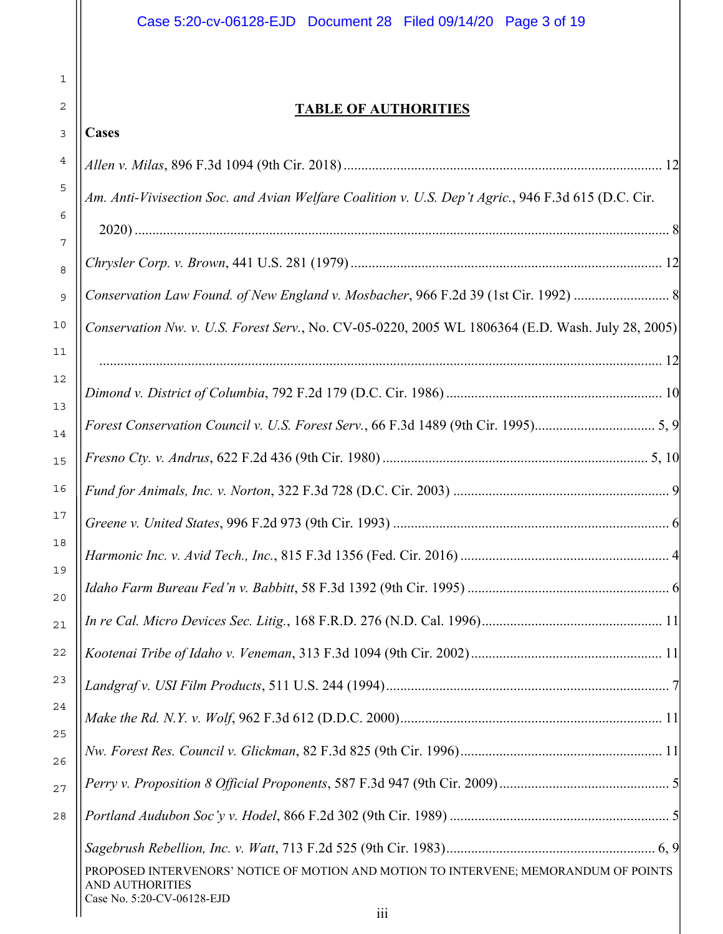## **TABLE OF AUTHORITIES**

| 3              | <b>Cases</b>                                                                                                                                 |
|----------------|----------------------------------------------------------------------------------------------------------------------------------------------|
| 4              |                                                                                                                                              |
| 5              | Am. Anti-Vivisection Soc. and Avian Welfare Coalition v. U.S. Dep't Agric., 946 F.3d 615 (D.C. Cir.                                          |
| 6              |                                                                                                                                              |
| 7<br>8         |                                                                                                                                              |
| 9              | Conservation Law Found. of New England v. Mosbacher, 966 F.2d 39 (1st Cir. 1992)                                                             |
| 0              | Conservation Nw. v. U.S. Forest Serv., No. CV-05-0220, 2005 WL 1806364 (E.D. Wash. July 28, 2005)                                            |
| 1              |                                                                                                                                              |
| 2<br>3         |                                                                                                                                              |
| $\overline{4}$ |                                                                                                                                              |
| 5              |                                                                                                                                              |
| 6              |                                                                                                                                              |
| 7              |                                                                                                                                              |
| 8<br>9         |                                                                                                                                              |
| $\overline{0}$ |                                                                                                                                              |
| $\mathbf 1$    |                                                                                                                                              |
| 2              | 11                                                                                                                                           |
| 3              |                                                                                                                                              |
| 4              |                                                                                                                                              |
| 5<br>6         |                                                                                                                                              |
| 7              |                                                                                                                                              |
| 8              |                                                                                                                                              |
|                |                                                                                                                                              |
|                | PROPOSED INTERVENORS' NOTICE OF MOTION AND MOTION TO INTERVENE; MEMORANDUM OF POINTS<br><b>AND AUTHORITIES</b><br>Case No. 5:20-CV-06128-EJD |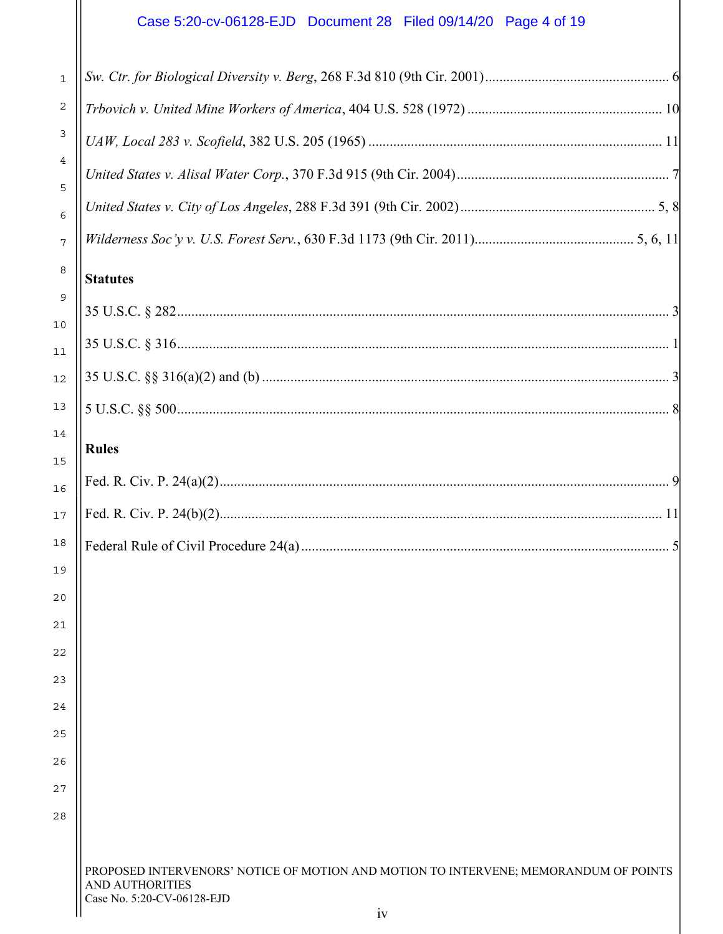# Case 5:20-cv-06128-EJD Document 28 Filed 09/14/20 Page 4 of 19

| $1\,$                 |                                                                                                                                              |
|-----------------------|----------------------------------------------------------------------------------------------------------------------------------------------|
| $\sqrt{2}$            |                                                                                                                                              |
| 3                     |                                                                                                                                              |
| 4                     |                                                                                                                                              |
| 5<br>6                |                                                                                                                                              |
| 7                     |                                                                                                                                              |
| 8                     | <b>Statutes</b>                                                                                                                              |
| 9                     |                                                                                                                                              |
| LO.<br>$\overline{1}$ |                                                                                                                                              |
| $\overline{2}$        |                                                                                                                                              |
| L3                    |                                                                                                                                              |
| $\lfloor 4$           | <b>Rules</b>                                                                                                                                 |
| L 5<br>L6             |                                                                                                                                              |
| 17                    |                                                                                                                                              |
| L8                    |                                                                                                                                              |
| L 9                   |                                                                                                                                              |
| 30                    |                                                                                                                                              |
| 21                    |                                                                                                                                              |
| $^{22}$               |                                                                                                                                              |
| 23<br>24              |                                                                                                                                              |
| 25                    |                                                                                                                                              |
| 36                    |                                                                                                                                              |
| 27                    |                                                                                                                                              |
| 28                    |                                                                                                                                              |
|                       |                                                                                                                                              |
|                       | PROPOSED INTERVENORS' NOTICE OF MOTION AND MOTION TO INTERVENE; MEMORANDUM OF POINTS<br><b>AND AUTHORITIES</b><br>Case No. 5:20-CV-06128-EJD |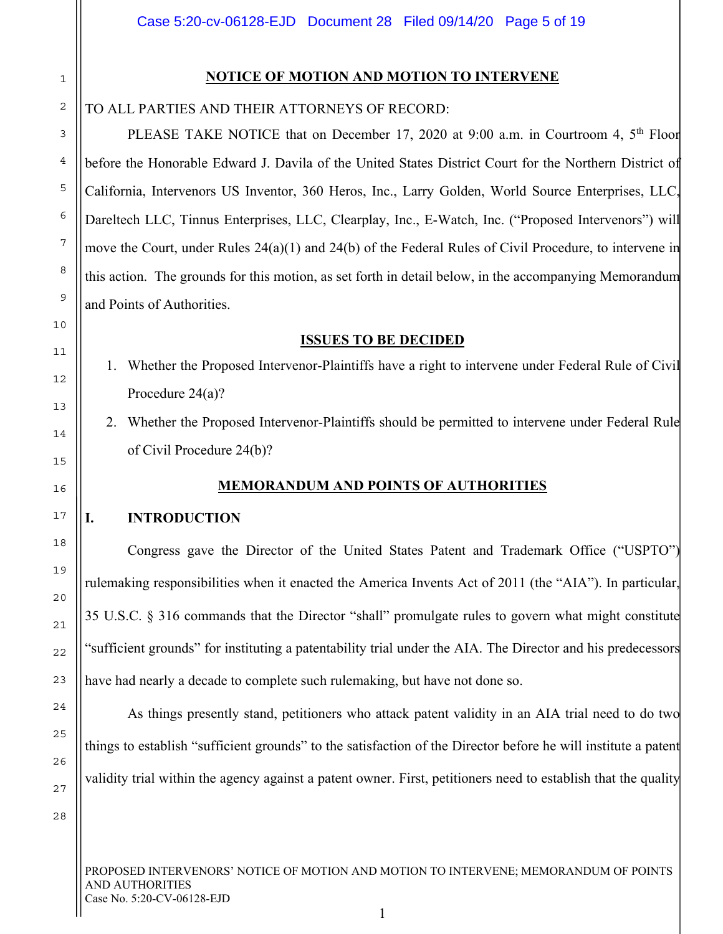## 1 2

3

4

5

6

7

8

9

10

11

12

13

14

15

16

17

18

19

20

21

22

23

24

25

26

27

## **NOTICE OF MOTION AND MOTION TO INTERVENE**

## TO ALL PARTIES AND THEIR ATTORNEYS OF RECORD:

PLEASE TAKE NOTICE that on December 17, 2020 at 9:00 a.m. in Courtroom 4, 5<sup>th</sup> Floor before the Honorable Edward J. Davila of the United States District Court for the Northern District of California, Intervenors US Inventor, 360 Heros, Inc., Larry Golden, World Source Enterprises, LLC, Dareltech LLC, Tinnus Enterprises, LLC, Clearplay, Inc., E-Watch, Inc. ("Proposed Intervenors") will move the Court, under Rules 24(a)(1) and 24(b) of the Federal Rules of Civil Procedure, to intervene in this action. The grounds for this motion, as set forth in detail below, in the accompanying Memorandum and Points of Authorities.

#### **ISSUES TO BE DECIDED**

- 1. Whether the Proposed Intervenor-Plaintiffs have a right to intervene under Federal Rule of Civil Procedure 24(a)?
- 2. Whether the Proposed Intervenor-Plaintiffs should be permitted to intervene under Federal Rule of Civil Procedure 24(b)?

## **MEMORANDUM AND POINTS OF AUTHORITIES**

#### **I. INTRODUCTION**

 Congress gave the Director of the United States Patent and Trademark Office ("USPTO") rulemaking responsibilities when it enacted the America Invents Act of 2011 (the "AIA"). In particular, 35 U.S.C. § 316 commands that the Director "shall" promulgate rules to govern what might constitute "sufficient grounds" for instituting a patentability trial under the AIA. The Director and his predecessors have had nearly a decade to complete such rulemaking, but have not done so.

 As things presently stand, petitioners who attack patent validity in an AIA trial need to do two things to establish "sufficient grounds" to the satisfaction of the Director before he will institute a patent validity trial within the agency against a patent owner. First, petitioners need to establish that the quality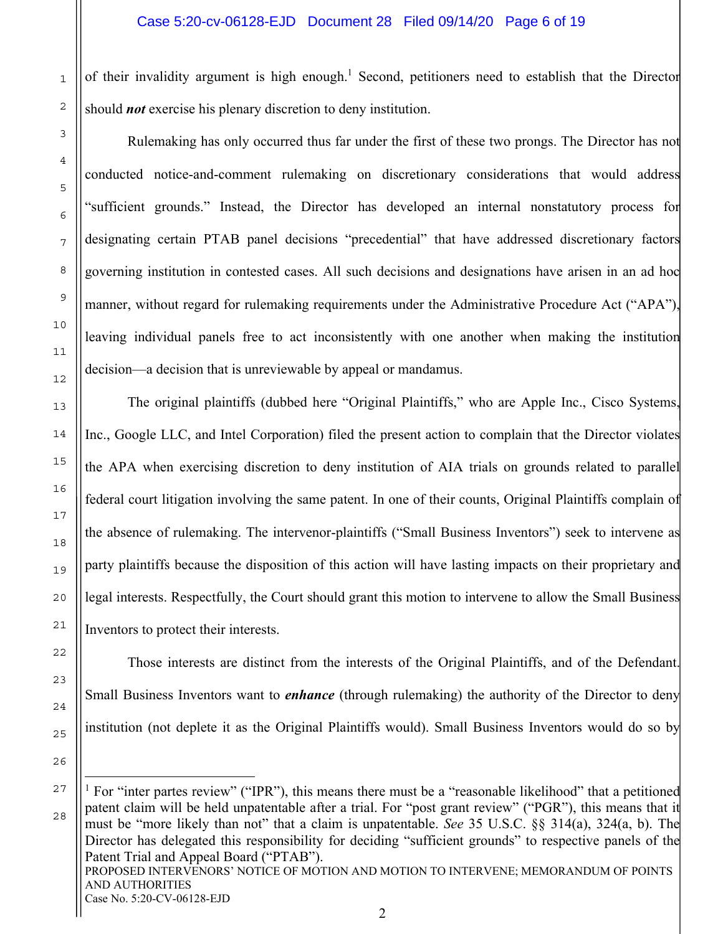1

2

3

4

5

6

7

8

9

10

11

12

13

14

15

16

17

18

19

20

21

22

23

24

25

26

of their invalidity argument is high enough.<sup>1</sup> Second, petitioners need to establish that the Director should *not* exercise his plenary discretion to deny institution.

 Rulemaking has only occurred thus far under the first of these two prongs. The Director has not conducted notice-and-comment rulemaking on discretionary considerations that would address "sufficient grounds." Instead, the Director has developed an internal nonstatutory process for designating certain PTAB panel decisions "precedential" that have addressed discretionary factors governing institution in contested cases. All such decisions and designations have arisen in an ad hoc manner, without regard for rulemaking requirements under the Administrative Procedure Act ("APA"), leaving individual panels free to act inconsistently with one another when making the institution decision—a decision that is unreviewable by appeal or mandamus.

 The original plaintiffs (dubbed here "Original Plaintiffs," who are Apple Inc., Cisco Systems, Inc., Google LLC, and Intel Corporation) filed the present action to complain that the Director violates the APA when exercising discretion to deny institution of AIA trials on grounds related to parallel federal court litigation involving the same patent. In one of their counts, Original Plaintiffs complain of the absence of rulemaking. The intervenor-plaintiffs ("Small Business Inventors") seek to intervene as party plaintiffs because the disposition of this action will have lasting impacts on their proprietary and legal interests. Respectfully, the Court should grant this motion to intervene to allow the Small Business Inventors to protect their interests.

Those interests are distinct from the interests of the Original Plaintiffs, and of the Defendant. Small Business Inventors want to *enhance* (through rulemaking) the authority of the Director to deny institution (not deplete it as the Original Plaintiffs would). Small Business Inventors would do so by

PROPOSED INTERVENORS' NOTICE OF MOTION AND MOTION TO INTERVENE; MEMORANDUM OF POINTS AND AUTHORITIES Case No. 5:20-CV-06128-EJD 27 28 <sup>1</sup> For "inter partes review" ("IPR"), this means there must be a "reasonable likelihood" that a petitioned patent claim will be held unpatentable after a trial. For "post grant review" ("PGR"), this means that it must be "more likely than not" that a claim is unpatentable. *See* 35 U.S.C. §§ 314(a), 324(a, b). The Director has delegated this responsibility for deciding "sufficient grounds" to respective panels of the Patent Trial and Appeal Board ("PTAB").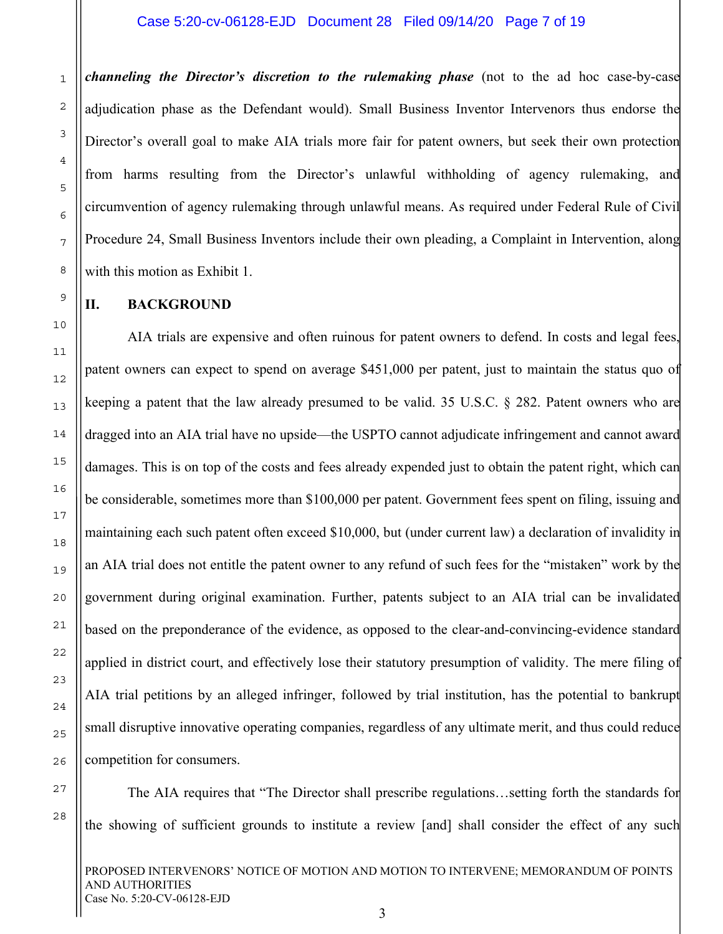#### Case 5:20-cv-06128-EJD Document 28 Filed 09/14/20 Page 7 of 19

*channeling the Director's discretion to the rulemaking phase* (not to the ad hoc case-by-case adjudication phase as the Defendant would). Small Business Inventor Intervenors thus endorse the Director's overall goal to make AIA trials more fair for patent owners, but seek their own protection from harms resulting from the Director's unlawful withholding of agency rulemaking, and circumvention of agency rulemaking through unlawful means. As required under Federal Rule of Civil Procedure 24, Small Business Inventors include their own pleading, a Complaint in Intervention, along with this motion as Exhibit 1.

#### **II. BACKGROUND**

AIA trials are expensive and often ruinous for patent owners to defend. In costs and legal fees, patent owners can expect to spend on average \$451,000 per patent, just to maintain the status quo of keeping a patent that the law already presumed to be valid. 35 U.S.C. § 282. Patent owners who are dragged into an AIA trial have no upside—the USPTO cannot adjudicate infringement and cannot award damages. This is on top of the costs and fees already expended just to obtain the patent right, which can be considerable, sometimes more than \$100,000 per patent. Government fees spent on filing, issuing and maintaining each such patent often exceed \$10,000, but (under current law) a declaration of invalidity in an AIA trial does not entitle the patent owner to any refund of such fees for the "mistaken" work by the government during original examination. Further, patents subject to an AIA trial can be invalidated based on the preponderance of the evidence, as opposed to the clear-and-convincing-evidence standard applied in district court, and effectively lose their statutory presumption of validity. The mere filing of AIA trial petitions by an alleged infringer, followed by trial institution, has the potential to bankrupt small disruptive innovative operating companies, regardless of any ultimate merit, and thus could reduce competition for consumers.

The AIA requires that "The Director shall prescribe regulations…setting forth the standards for the showing of sufficient grounds to institute a review [and] shall consider the effect of any such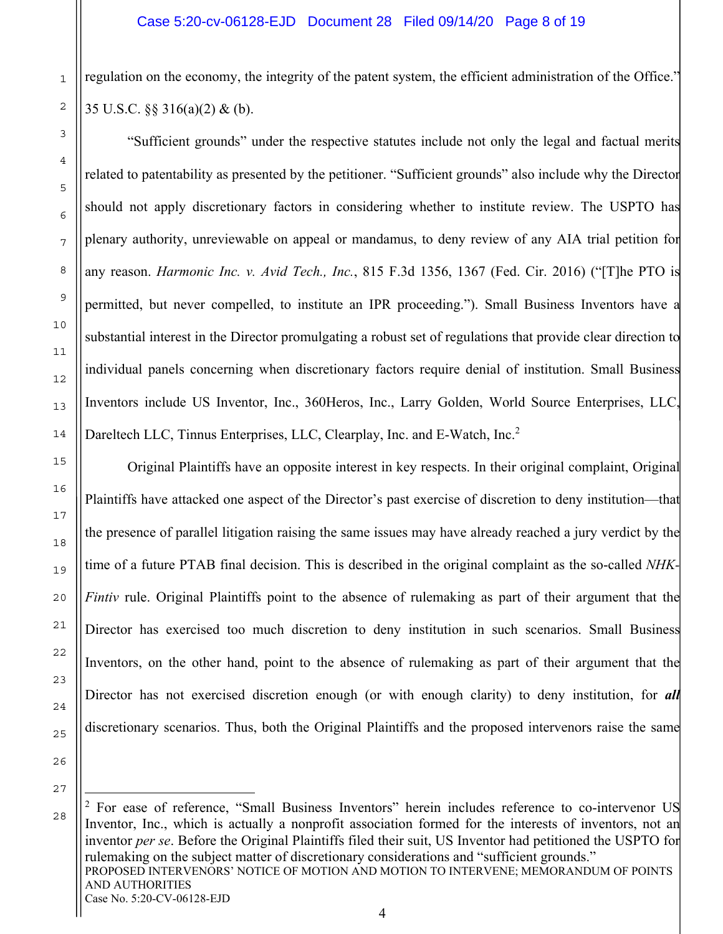regulation on the economy, the integrity of the patent system, the efficient administration of the Office." 35 U.S.C. §§ 316(a)(2) & (b).

"Sufficient grounds" under the respective statutes include not only the legal and factual merits related to patentability as presented by the petitioner. "Sufficient grounds" also include why the Director should not apply discretionary factors in considering whether to institute review. The USPTO has plenary authority, unreviewable on appeal or mandamus, to deny review of any AIA trial petition for any reason. *Harmonic Inc. v. Avid Tech., Inc.*, 815 F.3d 1356, 1367 (Fed. Cir. 2016) ("[T]he PTO is permitted, but never compelled, to institute an IPR proceeding."). Small Business Inventors have a substantial interest in the Director promulgating a robust set of regulations that provide clear direction to individual panels concerning when discretionary factors require denial of institution. Small Business Inventors include US Inventor, Inc., 360Heros, Inc., Larry Golden, World Source Enterprises, LLC, Dareltech LLC, Tinnus Enterprises, LLC, Clearplay, Inc. and E-Watch, Inc.<sup>2</sup>

Original Plaintiffs have an opposite interest in key respects. In their original complaint, Original Plaintiffs have attacked one aspect of the Director's past exercise of discretion to deny institution—that the presence of parallel litigation raising the same issues may have already reached a jury verdict by the time of a future PTAB final decision. This is described in the original complaint as the so-called *NHK-Fintiv* rule. Original Plaintiffs point to the absence of rulemaking as part of their argument that the Director has exercised too much discretion to deny institution in such scenarios. Small Business Inventors, on the other hand, point to the absence of rulemaking as part of their argument that the Director has not exercised discretion enough (or with enough clarity) to deny institution, for *all* discretionary scenarios. Thus, both the Original Plaintiffs and the proposed intervenors raise the same

PROPOSED INTERVENORS' NOTICE OF MOTION AND MOTION TO INTERVENE; MEMORANDUM OF POINTS AND AUTHORITIES Case No. 5:20-CV-06128-EJD <sup>2</sup> For ease of reference, "Small Business Inventors" herein includes reference to co-intervenor US Inventor, Inc., which is actually a nonprofit association formed for the interests of inventors, not an inventor *per se*. Before the Original Plaintiffs filed their suit, US Inventor had petitioned the USPTO for rulemaking on the subject matter of discretionary considerations and "sufficient grounds."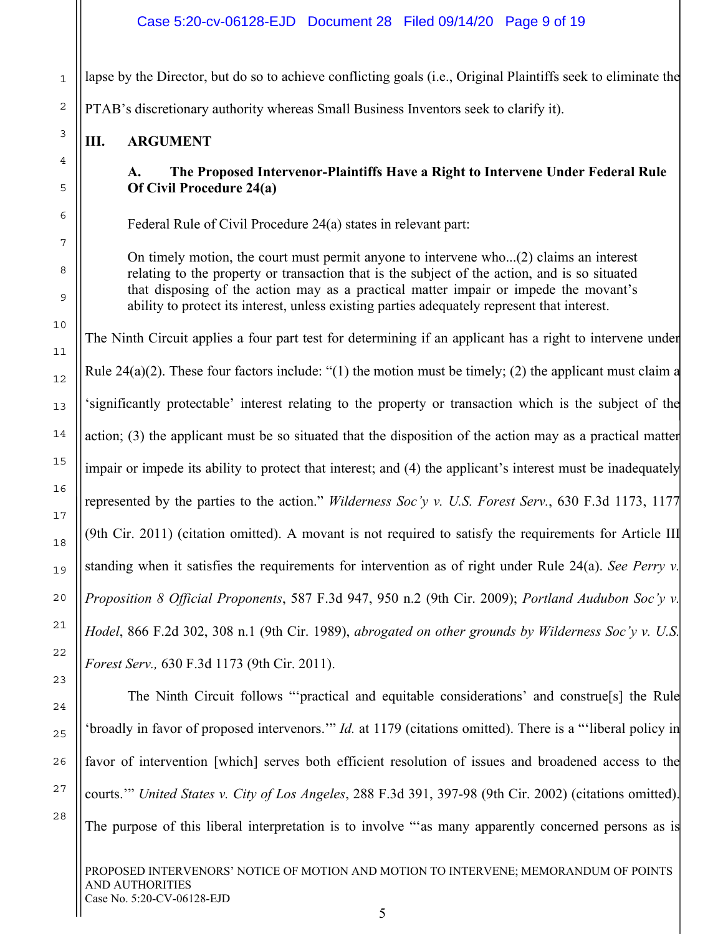lapse by the Director, but do so to achieve conflicting goals (i.e., Original Plaintiffs seek to eliminate the

PTAB's discretionary authority whereas Small Business Inventors seek to clarify it).

## **III. ARGUMENT**

1

2

3

4

5

6

7

8

9

10

11

12

13

14

15

16

17

**A. The Proposed Intervenor-Plaintiffs Have a Right to Intervene Under Federal Rule Of Civil Procedure 24(a)** 

Federal Rule of Civil Procedure 24(a) states in relevant part:

On timely motion, the court must permit anyone to intervene who...(2) claims an interest relating to the property or transaction that is the subject of the action, and is so situated that disposing of the action may as a practical matter impair or impede the movant's ability to protect its interest, unless existing parties adequately represent that interest.

The Ninth Circuit applies a four part test for determining if an applicant has a right to intervene under Rule 24(a)(2). These four factors include: "(1) the motion must be timely; (2) the applicant must claim a 'significantly protectable' interest relating to the property or transaction which is the subject of the action; (3) the applicant must be so situated that the disposition of the action may as a practical matter impair or impede its ability to protect that interest; and (4) the applicant's interest must be inadequately represented by the parties to the action." *Wilderness Soc'y v. U.S. Forest Serv.*, 630 F.3d 1173, 1177 (9th Cir. 2011) (citation omitted). A movant is not required to satisfy the requirements for Article III standing when it satisfies the requirements for intervention as of right under Rule 24(a). *See Perry v. Proposition 8 Official Proponents*, 587 F.3d 947, 950 n.2 (9th Cir. 2009); *Portland Audubon Soc'y v. Hodel*, 866 F.2d 302, 308 n.1 (9th Cir. 1989), *abrogated on other grounds by Wilderness Soc'y v. U.S. Forest Serv.,* 630 F.3d 1173 (9th Cir. 2011).

27

28

The Ninth Circuit follows "'practical and equitable considerations' and construe[s] the Rule 'broadly in favor of proposed intervenors.'" *Id.* at 1179 (citations omitted). There is a "'liberal policy in favor of intervention [which] serves both efficient resolution of issues and broadened access to the courts.'" *United States v. City of Los Angeles*, 288 F.3d 391, 397-98 (9th Cir. 2002) (citations omitted). The purpose of this liberal interpretation is to involve "as many apparently concerned persons as is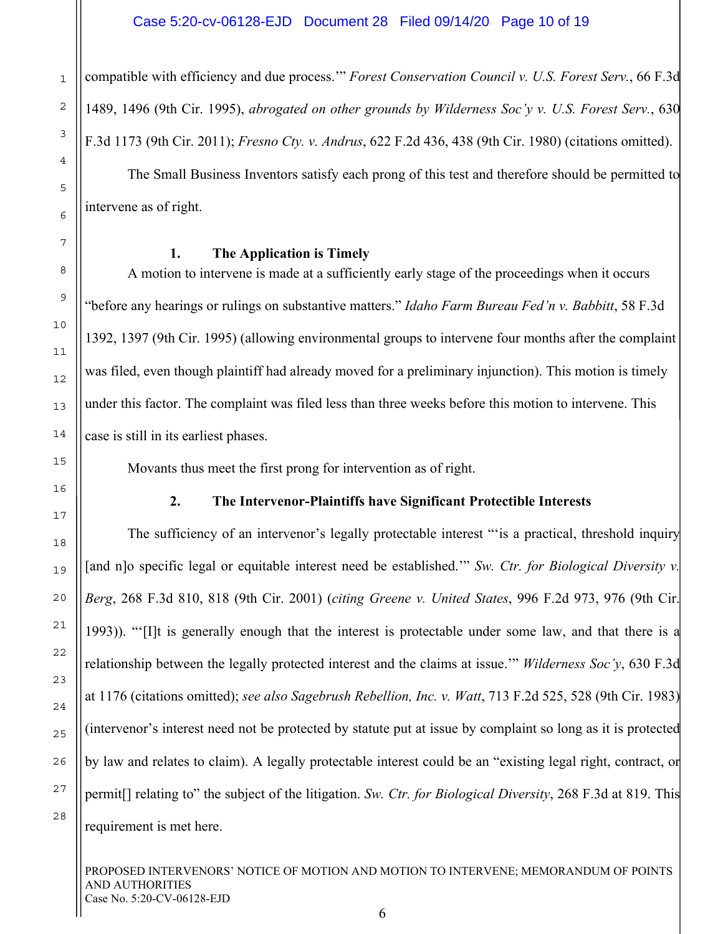compatible with efficiency and due process.'" *Forest Conservation Council v. U.S. Forest Serv.*, 66 F.3d 1489, 1496 (9th Cir. 1995), *abrogated on other grounds by Wilderness Soc'y v. U.S. Forest Serv.*, 630 F.3d 1173 (9th Cir. 2011); *Fresno Cty. v. Andrus*, 622 F.2d 436, 438 (9th Cir. 1980) (citations omitted). The Small Business Inventors satisfy each prong of this test and therefore should be permitted to intervene as of right.

#### **1. The Application is Timely**

A motion to intervene is made at a sufficiently early stage of the proceedings when it occurs "before any hearings or rulings on substantive matters." *Idaho Farm Bureau Fed'n v. Babbitt*, 58 F.3d 1392, 1397 (9th Cir. 1995) (allowing environmental groups to intervene four months after the complaint was filed, even though plaintiff had already moved for a preliminary injunction). This motion is timely under this factor. The complaint was filed less than three weeks before this motion to intervene. This case is still in its earliest phases.

Movants thus meet the first prong for intervention as of right.

## **2. The Intervenor-Plaintiffs have Significant Protectible Interests**

The sufficiency of an intervenor's legally protectable interest "is a practical, threshold inquiry [and n]o specific legal or equitable interest need be established.'" *Sw. Ctr. for Biological Diversity v. Berg*, 268 F.3d 810, 818 (9th Cir. 2001) (*citing Greene v. United States*, 996 F.2d 973, 976 (9th Cir. 1993)). "'[I]t is generally enough that the interest is protectable under some law, and that there is a relationship between the legally protected interest and the claims at issue.'" *Wilderness Soc'y*, 630 F.3d at 1176 (citations omitted); *see also Sagebrush Rebellion, Inc. v. Watt*, 713 F.2d 525, 528 (9th Cir. 1983) (intervenor's interest need not be protected by statute put at issue by complaint so long as it is protected by law and relates to claim). A legally protectable interest could be an "existing legal right, contract, or permit[] relating to" the subject of the litigation. *Sw. Ctr. for Biological Diversity*, 268 F.3d at 819. This requirement is met here.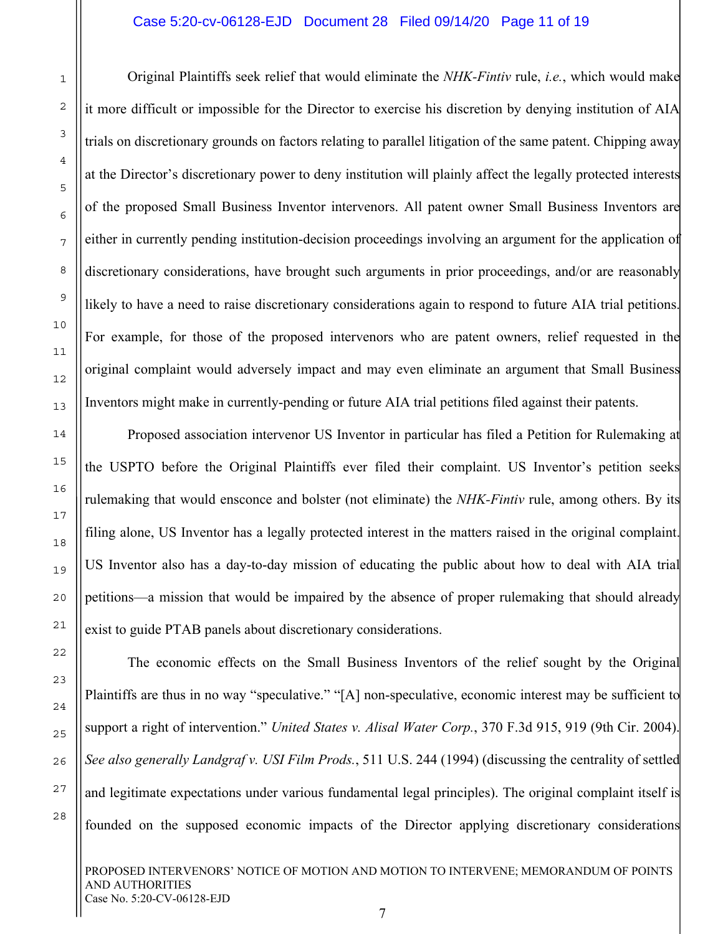#### Case 5:20-cv-06128-EJD Document 28 Filed 09/14/20 Page 11 of 19

Original Plaintiffs seek relief that would eliminate the *NHK-Fintiv* rule, *i.e.*, which would make it more difficult or impossible for the Director to exercise his discretion by denying institution of AIA trials on discretionary grounds on factors relating to parallel litigation of the same patent. Chipping away at the Director's discretionary power to deny institution will plainly affect the legally protected interests of the proposed Small Business Inventor intervenors. All patent owner Small Business Inventors are either in currently pending institution-decision proceedings involving an argument for the application of discretionary considerations, have brought such arguments in prior proceedings, and/or are reasonably likely to have a need to raise discretionary considerations again to respond to future AIA trial petitions. For example, for those of the proposed intervenors who are patent owners, relief requested in the original complaint would adversely impact and may even eliminate an argument that Small Business Inventors might make in currently-pending or future AIA trial petitions filed against their patents.

Proposed association intervenor US Inventor in particular has filed a Petition for Rulemaking at the USPTO before the Original Plaintiffs ever filed their complaint. US Inventor's petition seeks rulemaking that would ensconce and bolster (not eliminate) the *NHK-Fintiv* rule, among others. By its filing alone, US Inventor has a legally protected interest in the matters raised in the original complaint. US Inventor also has a day-to-day mission of educating the public about how to deal with AIA trial petitions—a mission that would be impaired by the absence of proper rulemaking that should already exist to guide PTAB panels about discretionary considerations.

The economic effects on the Small Business Inventors of the relief sought by the Original Plaintiffs are thus in no way "speculative." "[A] non-speculative, economic interest may be sufficient to support a right of intervention." *United States v. Alisal Water Corp.*, 370 F.3d 915, 919 (9th Cir. 2004). *See also generally Landgraf v. USI Film Prods.*, 511 U.S. 244 (1994) (discussing the centrality of settled and legitimate expectations under various fundamental legal principles). The original complaint itself is founded on the supposed economic impacts of the Director applying discretionary considerations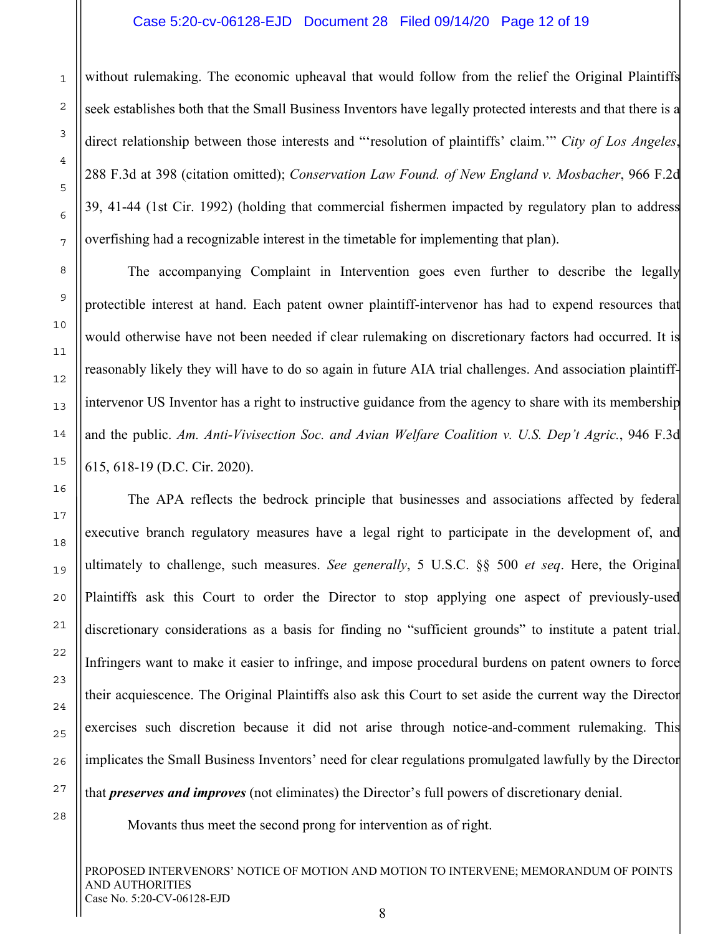#### Case 5:20-cv-06128-EJD Document 28 Filed 09/14/20 Page 12 of 19

without rulemaking. The economic upheaval that would follow from the relief the Original Plaintiffs seek establishes both that the Small Business Inventors have legally protected interests and that there is a direct relationship between those interests and "'resolution of plaintiffs' claim.'" *City of Los Angeles*, 288 F.3d at 398 (citation omitted); *Conservation Law Found. of New England v. Mosbacher*, 966 F.2d 39, 41-44 (1st Cir. 1992) (holding that commercial fishermen impacted by regulatory plan to address overfishing had a recognizable interest in the timetable for implementing that plan).

The accompanying Complaint in Intervention goes even further to describe the legally protectible interest at hand. Each patent owner plaintiff-intervenor has had to expend resources that would otherwise have not been needed if clear rulemaking on discretionary factors had occurred. It is reasonably likely they will have to do so again in future AIA trial challenges. And association plaintiffintervenor US Inventor has a right to instructive guidance from the agency to share with its membership and the public. *Am. Anti-Vivisection Soc. and Avian Welfare Coalition v. U.S. Dep't Agric.*, 946 F.3d 615, 618-19 (D.C. Cir. 2020).

The APA reflects the bedrock principle that businesses and associations affected by federal executive branch regulatory measures have a legal right to participate in the development of, and ultimately to challenge, such measures. *See generally*, 5 U.S.C. §§ 500 *et seq*. Here, the Original Plaintiffs ask this Court to order the Director to stop applying one aspect of previously-used discretionary considerations as a basis for finding no "sufficient grounds" to institute a patent trial. Infringers want to make it easier to infringe, and impose procedural burdens on patent owners to force their acquiescence. The Original Plaintiffs also ask this Court to set aside the current way the Director exercises such discretion because it did not arise through notice-and-comment rulemaking. This implicates the Small Business Inventors' need for clear regulations promulgated lawfully by the Director that *preserves and improves* (not eliminates) the Director's full powers of discretionary denial.

Movants thus meet the second prong for intervention as of right.

PROPOSED INTERVENORS' NOTICE OF MOTION AND MOTION TO INTERVENE; MEMORANDUM OF POINTS AND AUTHORITIES Case No. 5:20-CV-06128-EJD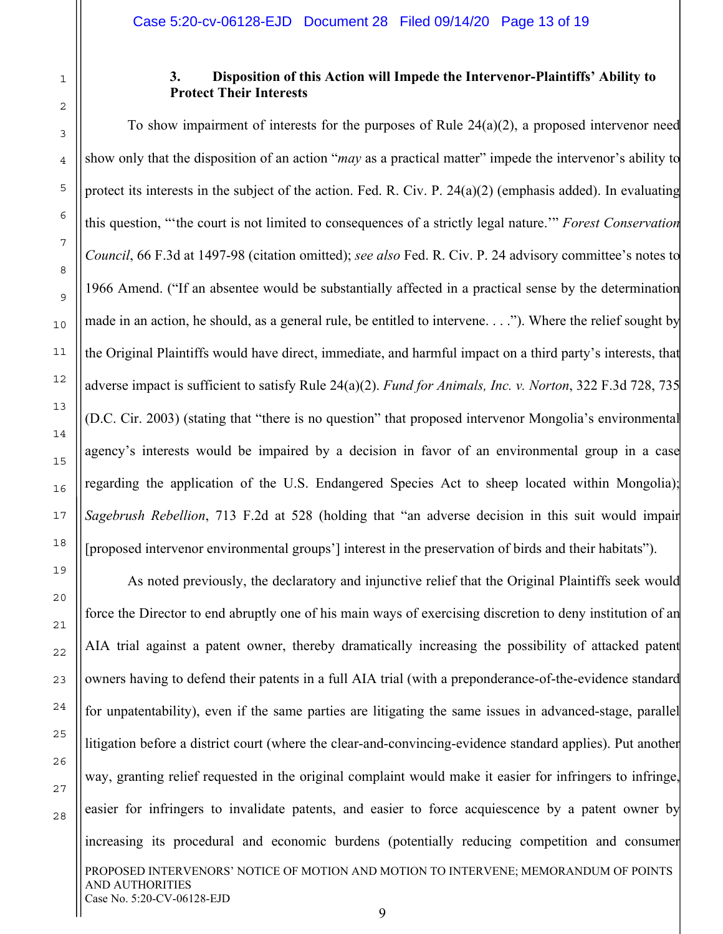28

## **3. Disposition of this Action will Impede the Intervenor-Plaintiffs' Ability to Protect Their Interests**

To show impairment of interests for the purposes of Rule 24(a)(2), a proposed intervenor need show only that the disposition of an action "*may* as a practical matter" impede the intervenor's ability to protect its interests in the subject of the action. Fed. R. Civ. P. 24(a)(2) (emphasis added). In evaluating this question, "'the court is not limited to consequences of a strictly legal nature.'" *Forest Conservation Council*, 66 F.3d at 1497-98 (citation omitted); *see also* Fed. R. Civ. P. 24 advisory committee's notes to 1966 Amend. ("If an absentee would be substantially affected in a practical sense by the determination made in an action, he should, as a general rule, be entitled to intervene. . . ."). Where the relief sought by the Original Plaintiffs would have direct, immediate, and harmful impact on a third party's interests, that adverse impact is sufficient to satisfy Rule 24(a)(2). *Fund for Animals, Inc. v. Norton*, 322 F.3d 728, 735 (D.C. Cir. 2003) (stating that "there is no question" that proposed intervenor Mongolia's environmental agency's interests would be impaired by a decision in favor of an environmental group in a case regarding the application of the U.S. Endangered Species Act to sheep located within Mongolia); *Sagebrush Rebellion*, 713 F.2d at 528 (holding that "an adverse decision in this suit would impair [proposed intervenor environmental groups'] interest in the preservation of birds and their habitats").

PROPOSED INTERVENORS' NOTICE OF MOTION AND MOTION TO INTERVENE; MEMORANDUM OF POINTS AND AUTHORITIES As noted previously, the declaratory and injunctive relief that the Original Plaintiffs seek would force the Director to end abruptly one of his main ways of exercising discretion to deny institution of an AIA trial against a patent owner, thereby dramatically increasing the possibility of attacked patent owners having to defend their patents in a full AIA trial (with a preponderance-of-the-evidence standard for unpatentability), even if the same parties are litigating the same issues in advanced-stage, parallel litigation before a district court (where the clear-and-convincing-evidence standard applies). Put another way, granting relief requested in the original complaint would make it easier for infringers to infringe, easier for infringers to invalidate patents, and easier to force acquiescence by a patent owner by increasing its procedural and economic burdens (potentially reducing competition and consumer

Case No. 5:20-CV-06128-EJD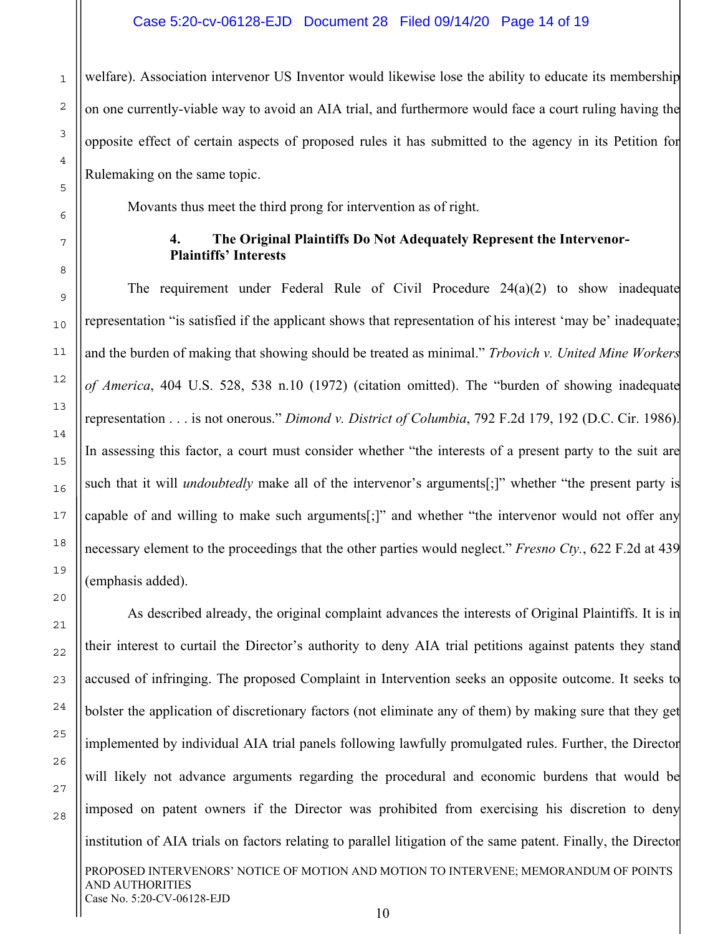welfare). Association intervenor US Inventor would likewise lose the ability to educate its membership on one currently-viable way to avoid an AIA trial, and furthermore would face a court ruling having the opposite effect of certain aspects of proposed rules it has submitted to the agency in its Petition for Rulemaking on the same topic.

Movants thus meet the third prong for intervention as of right.

#### **4. The Original Plaintiffs Do Not Adequately Represent the Intervenor-Plaintiffs' Interests**

The requirement under Federal Rule of Civil Procedure  $24(a)(2)$  to show inadequate representation "is satisfied if the applicant shows that representation of his interest 'may be' inadequate; and the burden of making that showing should be treated as minimal." *Trbovich v. United Mine Workers of America*, 404 U.S. 528, 538 n.10 (1972) (citation omitted). The "burden of showing inadequate representation . . . is not onerous." *Dimond v. District of Columbia*, 792 F.2d 179, 192 (D.C. Cir. 1986). In assessing this factor, a court must consider whether "the interests of a present party to the suit are such that it will *undoubtedly* make all of the intervenor's arguments[;]" whether "the present party is capable of and willing to make such arguments[;]" and whether "the intervenor would not offer any necessary element to the proceedings that the other parties would neglect." *Fresno Cty.*, 622 F.2d at 439 (emphasis added).

PROPOSED INTERVENORS' NOTICE OF MOTION AND MOTION TO INTERVENE; MEMORANDUM OF POINTS AND AUTHORITIES As described already, the original complaint advances the interests of Original Plaintiffs. It is in their interest to curtail the Director's authority to deny AIA trial petitions against patents they stand accused of infringing. The proposed Complaint in Intervention seeks an opposite outcome. It seeks to bolster the application of discretionary factors (not eliminate any of them) by making sure that they get implemented by individual AIA trial panels following lawfully promulgated rules. Further, the Director will likely not advance arguments regarding the procedural and economic burdens that would be imposed on patent owners if the Director was prohibited from exercising his discretion to deny institution of AIA trials on factors relating to parallel litigation of the same patent. Finally, the Director

Case No. 5:20-CV-06128-EJD

1

2

3

4

5

6

7

8

9

10

11

12

13

14

15

16

17

18

19

20

21

22

23

24

25

26

27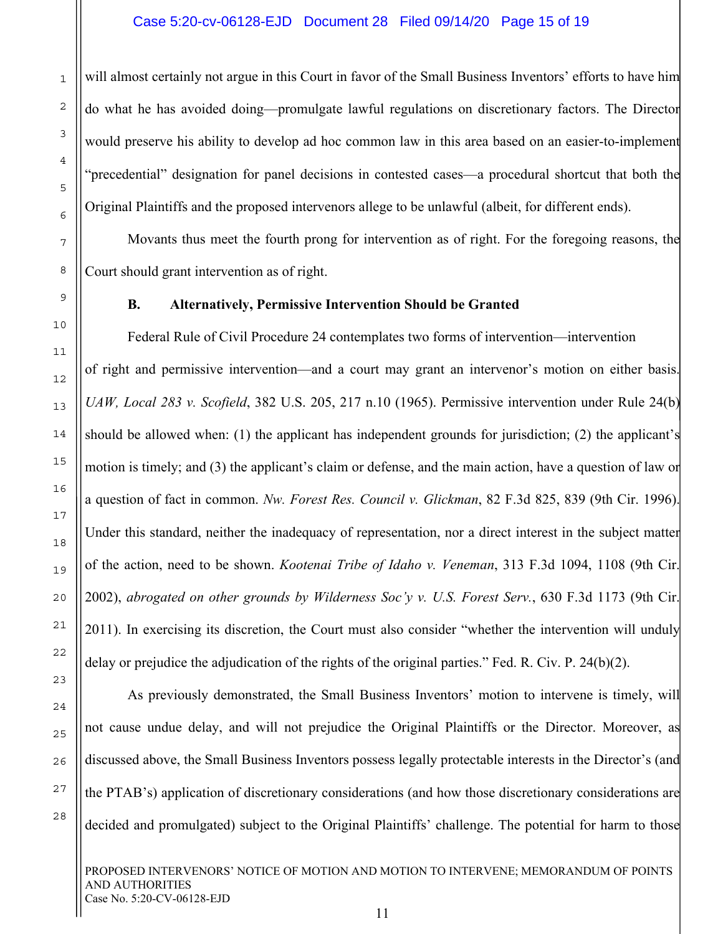will almost certainly not argue in this Court in favor of the Small Business Inventors' efforts to have him do what he has avoided doing—promulgate lawful regulations on discretionary factors. The Director would preserve his ability to develop ad hoc common law in this area based on an easier-to-implement "precedential" designation for panel decisions in contested cases—a procedural shortcut that both the Original Plaintiffs and the proposed intervenors allege to be unlawful (albeit, for different ends).

Movants thus meet the fourth prong for intervention as of right. For the foregoing reasons, the Court should grant intervention as of right.

**B. Alternatively, Permissive Intervention Should be Granted** 

Federal Rule of Civil Procedure 24 contemplates two forms of intervention—intervention of right and permissive intervention—and a court may grant an intervenor's motion on either basis. *UAW, Local 283 v. Scofield*, 382 U.S. 205, 217 n.10 (1965). Permissive intervention under Rule 24(b) should be allowed when: (1) the applicant has independent grounds for jurisdiction; (2) the applicant's motion is timely; and (3) the applicant's claim or defense, and the main action, have a question of law or a question of fact in common. *Nw. Forest Res. Council v. Glickman*, 82 F.3d 825, 839 (9th Cir. 1996). Under this standard, neither the inadequacy of representation, nor a direct interest in the subject matter of the action, need to be shown. *Kootenai Tribe of Idaho v. Veneman*, 313 F.3d 1094, 1108 (9th Cir. 2002), *abrogated on other grounds by Wilderness Soc'y v. U.S. Forest Serv.*, 630 F.3d 1173 (9th Cir. 2011). In exercising its discretion, the Court must also consider "whether the intervention will unduly delay or prejudice the adjudication of the rights of the original parties." Fed. R. Civ. P. 24(b)(2).

As previously demonstrated, the Small Business Inventors' motion to intervene is timely, will not cause undue delay, and will not prejudice the Original Plaintiffs or the Director. Moreover, as discussed above, the Small Business Inventors possess legally protectable interests in the Director's (and the PTAB's) application of discretionary considerations (and how those discretionary considerations are decided and promulgated) subject to the Original Plaintiffs' challenge. The potential for harm to those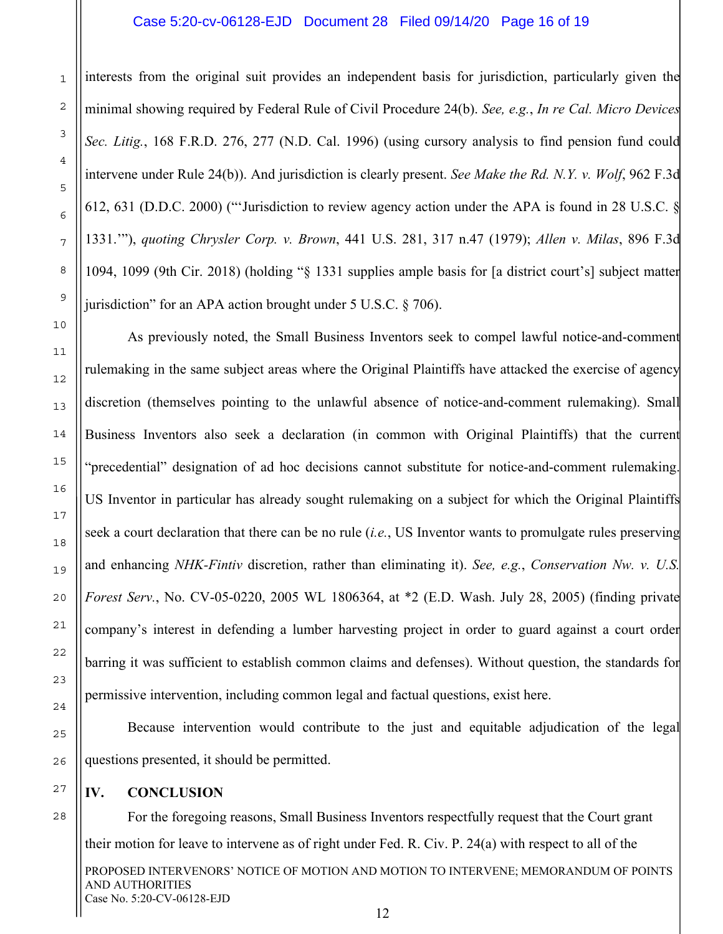#### Case 5:20-cv-06128-EJD Document 28 Filed 09/14/20 Page 16 of 19

interests from the original suit provides an independent basis for jurisdiction, particularly given the minimal showing required by Federal Rule of Civil Procedure 24(b). *See, e.g.*, *In re Cal. Micro Devices Sec. Litig.*, 168 F.R.D. 276, 277 (N.D. Cal. 1996) (using cursory analysis to find pension fund could intervene under Rule 24(b)). And jurisdiction is clearly present. *See Make the Rd. N.Y. v. Wolf*, 962 F.3d 612, 631 (D.D.C. 2000) ("'Jurisdiction to review agency action under the APA is found in 28 U.S.C. § 1331.'"), *quoting Chrysler Corp. v. Brown*, 441 U.S. 281, 317 n.47 (1979); *Allen v. Milas*, 896 F.3d 1094, 1099 (9th Cir. 2018) (holding "§ 1331 supplies ample basis for [a district court's] subject matter jurisdiction" for an APA action brought under 5 U.S.C. § 706).

As previously noted, the Small Business Inventors seek to compel lawful notice-and-comment rulemaking in the same subject areas where the Original Plaintiffs have attacked the exercise of agency discretion (themselves pointing to the unlawful absence of notice-and-comment rulemaking). Small Business Inventors also seek a declaration (in common with Original Plaintiffs) that the current "precedential" designation of ad hoc decisions cannot substitute for notice-and-comment rulemaking. US Inventor in particular has already sought rulemaking on a subject for which the Original Plaintiffs seek a court declaration that there can be no rule (*i.e.*, US Inventor wants to promulgate rules preserving and enhancing *NHK-Fintiv* discretion, rather than eliminating it). *See, e.g.*, *Conservation Nw. v. U.S. Forest Serv.*, No. CV-05-0220, 2005 WL 1806364, at \*2 (E.D. Wash. July 28, 2005) (finding private company's interest in defending a lumber harvesting project in order to guard against a court order barring it was sufficient to establish common claims and defenses). Without question, the standards for permissive intervention, including common legal and factual questions, exist here.

Because intervention would contribute to the just and equitable adjudication of the legal questions presented, it should be permitted.

### **IV. CONCLUSION**

For the foregoing reasons, Small Business Inventors respectfully request that the Court grant their motion for leave to intervene as of right under Fed. R. Civ. P. 24(a) with respect to all of the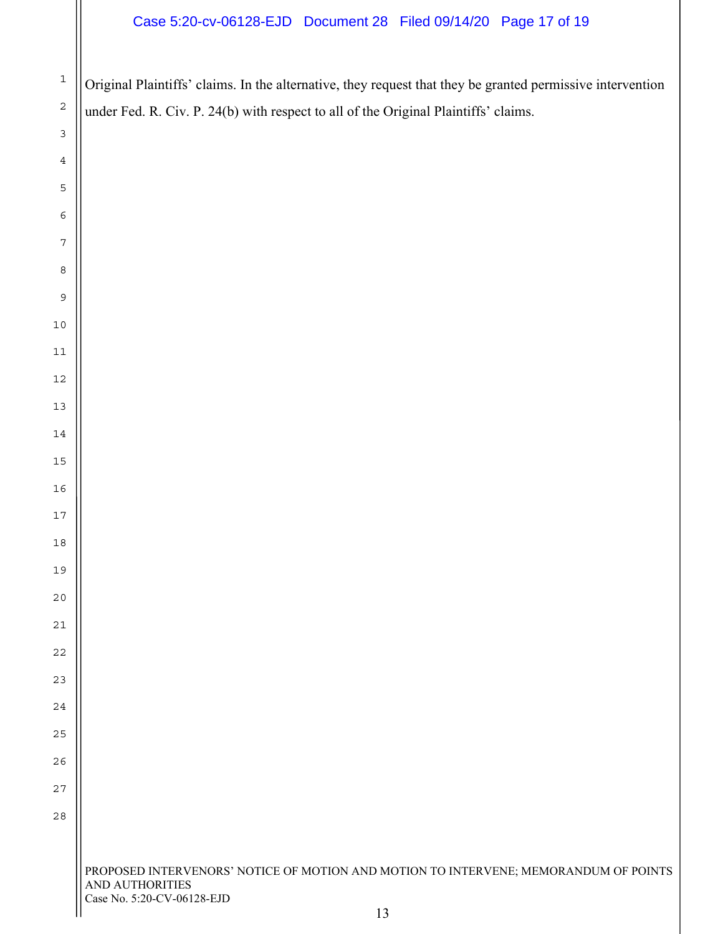## Case 5:20-cv-06128-EJD Document 28 Filed 09/14/20 Page 17 of 19

Original Plaintiffs' claims. In the alternative, they request that they be granted permissive intervention under Fed. R. Civ. P. 24(b) with respect to all of the Original Plaintiffs' claims.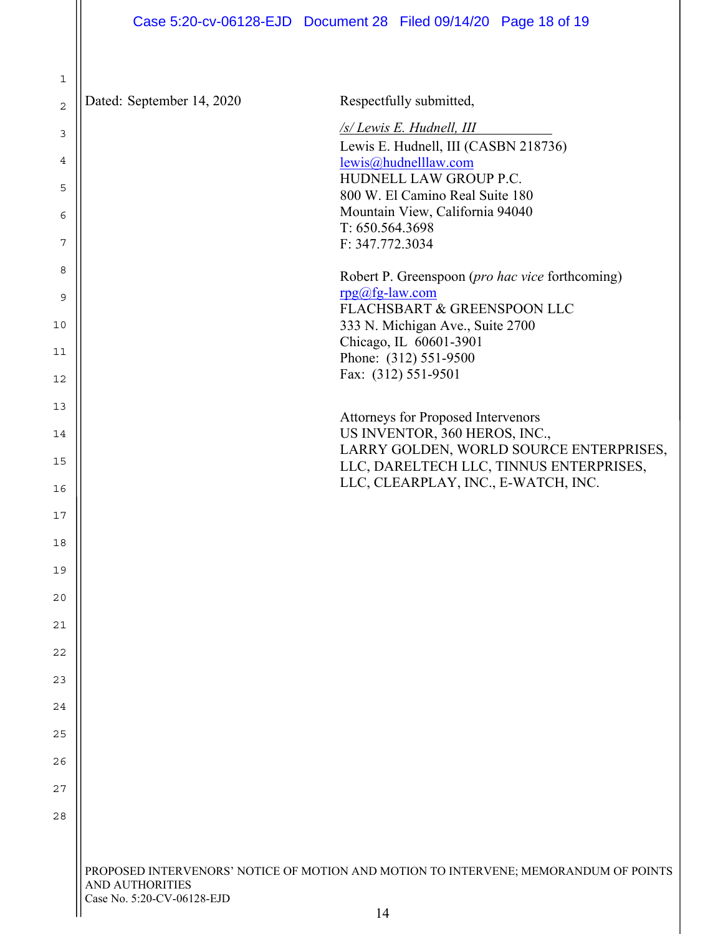PROPOSED INTERVENORS' NOTICE OF MOTION AND MOTION TO INTERVENE; MEMORANDUM OF POINTS AND AUTHORITIES 1 2 3 4 5 6 7 8 9 10 11 12 13 14 15 16 17 18 19 20 21 22 23 24 25 26 27 28 Dated: September 14, 2020 Respectfully submitted, */s/ Lewis E. Hudnell, III*  Lewis E. Hudnell, III (CASBN 218736) lewis@hudnelllaw.com HUDNELL LAW GROUP P.C. 800 W. El Camino Real Suite 180 Mountain View, California 94040 T: 650.564.3698 F: 347.772.3034 Robert P. Greenspoon (*pro hac vice* forthcoming) rpg@fg-law.com FLACHSBART & GREENSPOON LLC 333 N. Michigan Ave., Suite 2700 Chicago, IL 60601-3901 Phone: (312) 551-9500 Fax: (312) 551-9501 Attorneys for Proposed Intervenors US INVENTOR, 360 HEROS, INC., LARRY GOLDEN, WORLD SOURCE ENTERPRISES, LLC, DARELTECH LLC, TINNUS ENTERPRISES, LLC, CLEARPLAY, INC., E-WATCH, INC.

Case No. 5:20-CV-06128-EJD